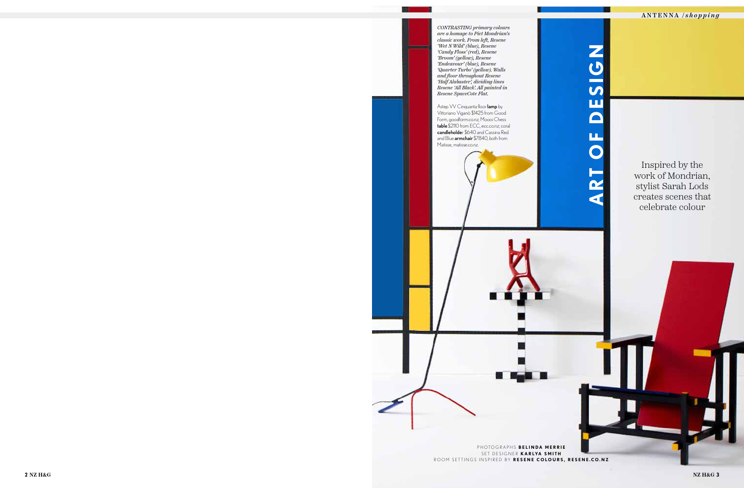ANTENNA / *shopping*

Inspired by the work of Mondrian, stylist Sarah Lods creates scenes that celebrate colour

**2 ART OF DESIGNATION** *CONTRASTING primary colours are a homage to Piet Mondrian's classic work. From left, Resene 'Wet N Wild' (blue), Resene 'Candy Floss' (red), Resene 'Broom' (yellow), Resene 'Endeavour' (blue), Resene 'Quarter Turbo' (yellow). Walls and floor throughout Resene 'Half Alabaster', dividing lines Resene 'All Black'. All painted in Resene SpaceCote Flat.*  Astep VV Cinquanta floor lamp by Vittoriano Viganò \$1425 from Good Form, goodform.co.nz; Moooi Chess table \$2110 from ECC, ecc.co.nz; coral candleholder \$640 and Cassina Red and Blue armchair \$7840, both from Matisse, matisse.co.nz.

PHOTOGRAPHS **BELINDA MERRIE** SET DESIGNER **KARLYA SMITH** ROOM SETTINGS INSPIRED BY **RESENE COLOURS, RESENE.CO.NZ**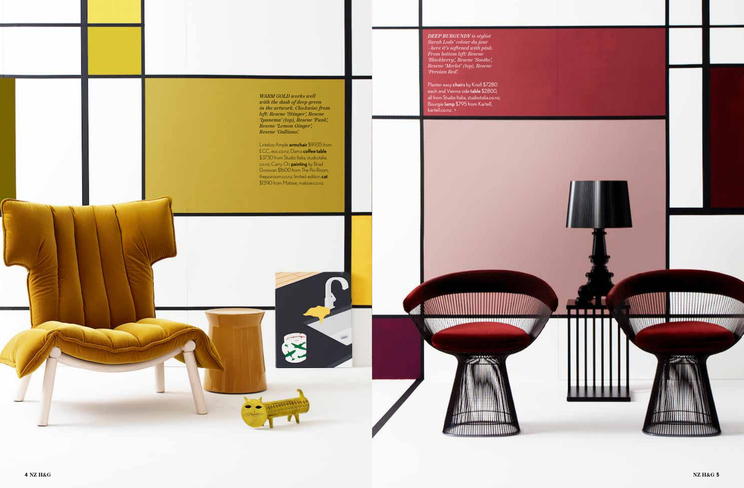